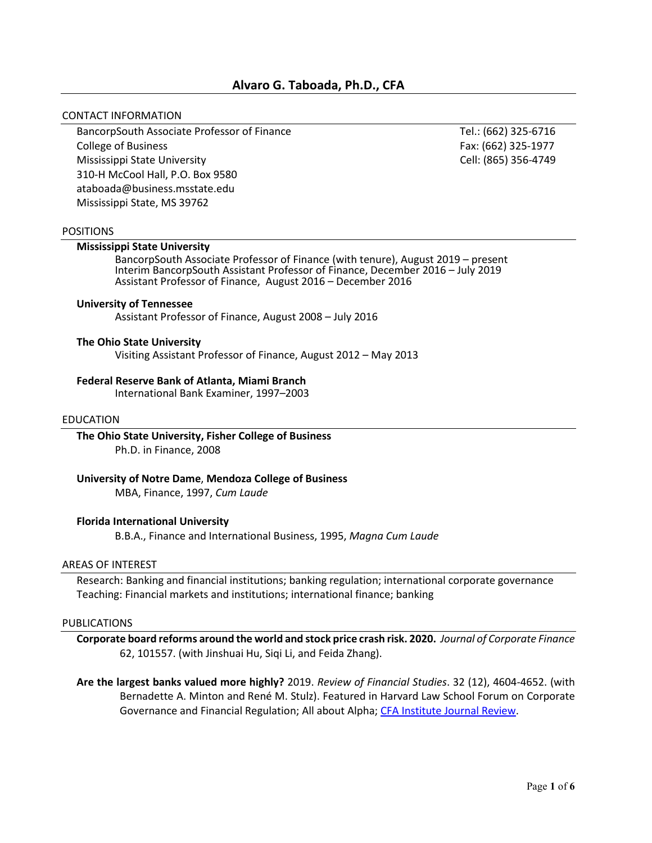# **Alvaro G. Taboada, Ph.D., CFA**

#### CONTACT INFORMATION

BancorpSouth Associate Professor of Finance Tel.: (662) 325-6716 College of Business Fax: (662) 325-1977 Mississippi State University Cell: (865) 356-4749 310-H McCool Hall, P.O. Box 9580 ataboada@business.msstate.edu Mississippi State, MS 39762

### POSITIONS

### **Mississippi State University**

BancorpSouth Associate Professor of Finance (with tenure), August 2019 – present Interim BancorpSouth Assistant Professor of Finance, December 2016 – July 2019 Assistant Professor of Finance, August 2016 – December 2016

### **University of Tennessee**

Assistant Professor of Finance, August 2008 – July 2016

#### **The Ohio State University**

Visiting Assistant Professor of Finance, August 2012 – May 2013

#### **Federal Reserve Bank of Atlanta, Miami Branch**

International Bank Examiner, 1997–2003

### EDUCATION

**The Ohio State University, Fisher College of Business** Ph.D. in Finance, 2008

**University of Notre Dame**, **Mendoza College of Business**

MBA, Finance, 1997, *Cum Laude*

#### **Florida International University**

B.B.A., Finance and International Business, 1995, *Magna Cum Laude*

#### AREAS OF INTEREST

Research: Banking and financial institutions; banking regulation; international corporate governance Teaching: Financial markets and institutions; international finance; banking

#### PUBLICATIONS

- **Corporate board reforms around the world and stock price crash risk. 2020.** *Journal of Corporate Finance* 62, 101557. (with Jinshuai Hu, Siqi Li, and Feida Zhang).
- **Are the largest banks valued more highly?** 2019. *Review of Financial Studies*. 32 (12), 4604-4652. (with Bernadette A. Minton and René M. Stulz). Featured in [Harvard Law School Forum on Corporate](https://corpgov.law.harvard.edu/2017/03/28/are-large-banks-valued-more-highly/)  [Governance and Financial Regulation;](https://corpgov.law.harvard.edu/2017/03/28/are-large-banks-valued-more-highly/) [All about Alpha;](http://www.allaboutalpha.com/blog/2018/07/22/a-counterintuitive-result-on-bank-size-and-too-big-to-fail/) [CFA Institute Journal Review.](https://www.cfainstitute.org/research/cfa-digest/2020/09/dig-v50-n9-3)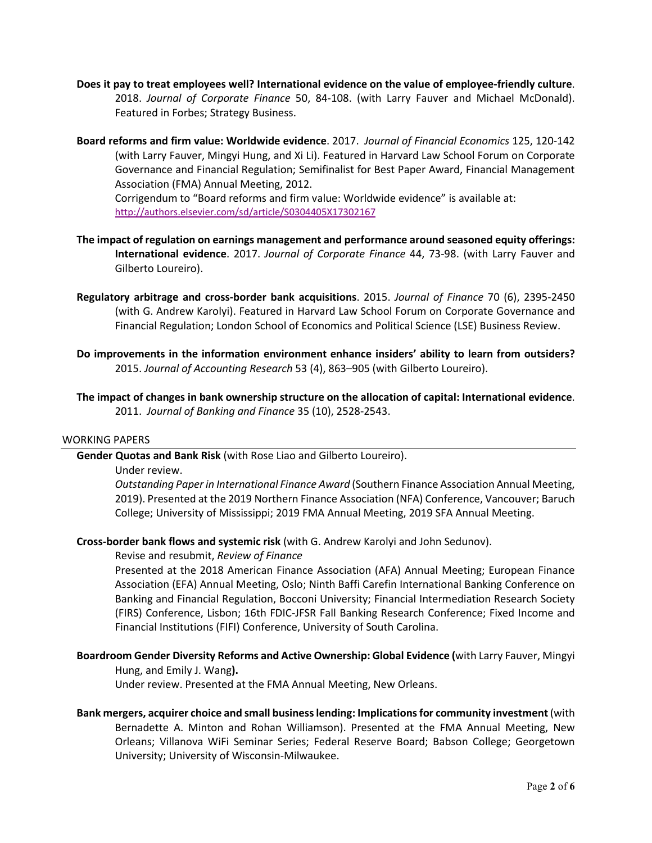- **Does it pay to treat employees well? International evidence on the value of employee-friendly culture**. 2018. *Journal of Corporate Finance* 50, 84-108. (with Larry Fauver and Michael McDonald). Featured i[n Forbes;](https://www.forbes.com/sites/pavelkrapivin/2018/09/17/how-googles-strategy-for-happy-employees-boosts-its-bottom-line/#7a4830b922fc) [Strategy Business.](https://www.strategy-business.com/blog/Workplace-Perks-Wasteful-Indulgence-or-Powerful-Profit-Driver)
- **Board reforms and firm value: Worldwide evidence**. 2017. *Journal of Financial Economics* 125, 120-142 (with Larry Fauver, Mingyi Hung, and Xi Li). Featured in [Harvard Law School Forum on Corporate](https://corpgov.law.harvard.edu/2017/07/04/board-reforms-and-firm-value-worldwide-evidence)  [Governance and Financial Regulation;](https://corpgov.law.harvard.edu/2017/07/04/board-reforms-and-firm-value-worldwide-evidence) Semifinalist for Best Paper Award, Financial Management Association (FMA) Annual Meeting, 2012.

Corrigendum to "Board reforms and firm value: Worldwide evidence" is available at: <http://authors.elsevier.com/sd/article/S0304405X17302167>

- **The impact of regulation on earnings management and performance around seasoned equity offerings: International evidence**. 2017. *Journal of Corporate Finance* 44, 73-98. (with Larry Fauver and Gilberto Loureiro).
- **Regulatory arbitrage and cross-border bank acquisitions**. 2015. *Journal of Finance* 70 (6), 2395-2450 (with G. Andrew Karolyi). Featured in [Harvard Law School Forum on Corporate Governance and](http://corpgov.law.harvard.edu/2015/06/24/regulatory-arbitrage-and-cross-border-bank-acquisitions/)  [Financial Regulation;](http://corpgov.law.harvard.edu/2015/06/24/regulatory-arbitrage-and-cross-border-bank-acquisitions/) [London School of Economics and Political Science \(LSE\) Business Review.](http://blogs.lse.ac.uk/businessreview/2016/01/11/in-search-of-greater-regulatory-freedom-some-banks-resort-to-cross-border-acquisitions/)
- **Do improvements in the information environment enhance insiders' ability to learn from outsiders?** 2015. *Journal of Accounting Research* 53 (4), 863–905 (with Gilberto Loureiro).
- **The impact of changes in bank ownership structure on the allocation of capital: International evidence**. 2011. *Journal of Banking and Finance* 35 (10), 2528-2543.

## WORKING PAPERS

**Gender Quotas and Bank Risk** (with Rose Liao and Gilberto Loureiro).

#### Under review.

*Outstanding Paper in International Finance Award* (Southern Finance Association Annual Meeting, 2019). Presented at the 2019 Northern Finance Association (NFA) Conference, Vancouver; Baruch College; University of Mississippi; 2019 FMA Annual Meeting, 2019 SFA Annual Meeting.

## **Cross-border bank flows and systemic risk** (with G. Andrew Karolyi and John Sedunov).

#### Revise and resubmit, *Review of Finance*

Presented at the 2018 American Finance Association (AFA) Annual Meeting; European Finance Association (EFA) Annual Meeting, Oslo; Ninth Baffi Carefin International Banking Conference on Banking and Financial Regulation, Bocconi University; Financial Intermediation Research Society (FIRS) Conference, Lisbon; 16th FDIC-JFSR Fall Banking Research Conference; Fixed Income and Financial Institutions (FIFI) Conference, University of South Carolina.

## **Boardroom Gender Diversity Reforms and Active Ownership: Global Evidence (**with Larry Fauver, Mingyi

#### Hung, and Emily J. Wang**).**

Under review. Presented at the FMA Annual Meeting, New Orleans.

**Bank mergers, acquirer choice and small business lending: Implications for community investment**(with Bernadette A. Minton and Rohan Williamson). Presented at the FMA Annual Meeting, New Orleans; Villanova WiFi Seminar Series; Federal Reserve Board; Babson College; Georgetown University; University of Wisconsin-Milwaukee.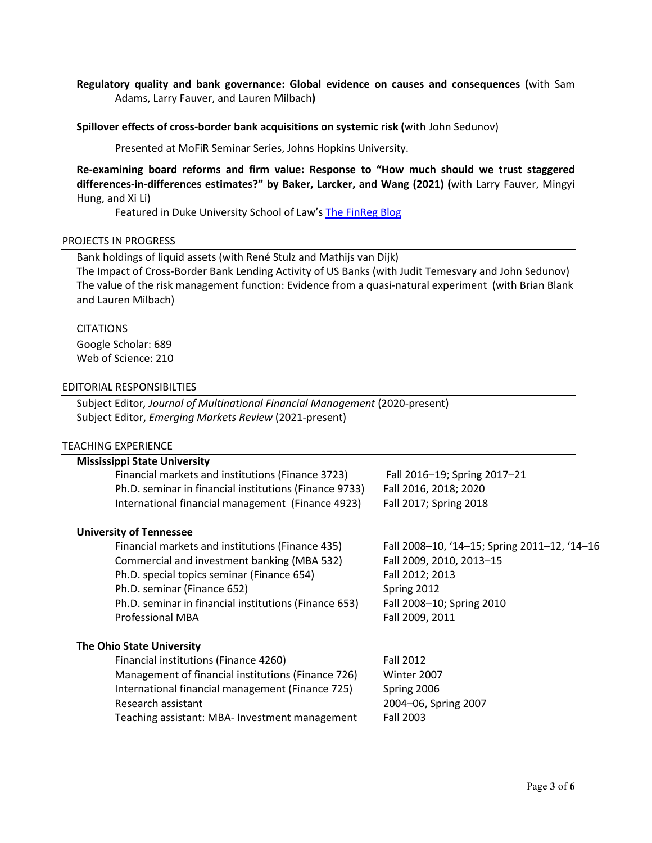# **Regulatory quality and bank governance: Global evidence on causes and consequences (**with Sam Adams, Larry Fauver, and Lauren Milbach**)**

### **Spillover effects of cross-border bank acquisitions on systemic risk (**with John Sedunov)

Presented at MoFiR Seminar Series, Johns Hopkins University.

**Re-examining board reforms and firm value: Response to "How much should we trust staggered differences-in-differences estimates?" by Baker, Larcker, and Wang (2021) (**with Larry Fauver, Mingyi Hung, and Xi Li)

Featured in Duke University School of Law's [The FinReg Blog](https://secure-web.cisco.com/16nk1BngNGp9SKpHyWgRYMvyx-8k-MHjHe6oODn5S7B3sqPRftPrB9hholbWJv3jjP0D5riEVKys1hlQBOJeeFWjhOHJhCT1Tv5B4NUFwqu8BHfQUbNtVYWoTYAsQIetToVsop1pONRS5mmH0GGXA4DmVdap8--47oiLnFNq_qXrhnBCsktr2IQh2MKrybUINcu-DPAHH1y9_6dF38pApDNFL3Wbx8cbrxkO9Nc0WbrEZn426qHYWR72I9X1cdJZzYQcCAkp-szElbAywLiznuhHtY2oSA62RGHAhPWGF1WzWvvhjpYnppNShFNBUNWR6/https%3A%2F%2Fsites.law.duke.edu%2Fthefinregblog%2F2021%2F08%2F23%2Fre-examining-board-reforms-and-firm-value-response-to-how-much-should-we-trust-staggered-differences-in-differences-estimates-by-baker-larcker-and-wang-2021%2F)

#### PROJECTS IN PROGRESS

Bank holdings of liquid assets (with René Stulz and Mathijs van Dijk)

The Impact of Cross-Border Bank Lending Activity of US Banks (with Judit Temesvary and John Sedunov) The value of the risk management function: Evidence from a quasi-natural experiment (with Brian Blank and Lauren Milbach)

#### **CITATIONS**

Google Scholar: 689 Web of Science: 210

#### EDITORIAL RESPONSIBILTIES

Subject Editor*, Journal of Multinational Financial Management* (2020-present) Subject Editor, *Emerging Markets Review* (2021-present)

### TEACHING EXPERIENCE

| <b>Mississippi State University</b>                    |                                              |
|--------------------------------------------------------|----------------------------------------------|
| Financial markets and institutions (Finance 3723)      | Fall 2016-19; Spring 2017-21                 |
| Ph.D. seminar in financial institutions (Finance 9733) | Fall 2016, 2018; 2020                        |
| International financial management (Finance 4923)      | Fall 2017; Spring 2018                       |
| <b>University of Tennessee</b>                         |                                              |
| Financial markets and institutions (Finance 435)       | Fall 2008-10, '14-15; Spring 2011-12, '14-16 |
| Commercial and investment banking (MBA 532)            | Fall 2009, 2010, 2013-15                     |
| Ph.D. special topics seminar (Finance 654)             | Fall 2012; 2013                              |
| Ph.D. seminar (Finance 652)                            | Spring 2012                                  |
| Ph.D. seminar in financial institutions (Finance 653)  | Fall 2008-10; Spring 2010                    |
| <b>Professional MBA</b>                                | Fall 2009, 2011                              |
| <b>The Ohio State University</b>                       |                                              |
| Financial institutions (Finance 4260)                  | <b>Fall 2012</b>                             |
| Management of financial institutions (Finance 726)     | Winter 2007                                  |
| International financial management (Finance 725)       | Spring 2006                                  |
| Research assistant                                     | 2004-06, Spring 2007                         |
| Teaching assistant: MBA- Investment management         | <b>Fall 2003</b>                             |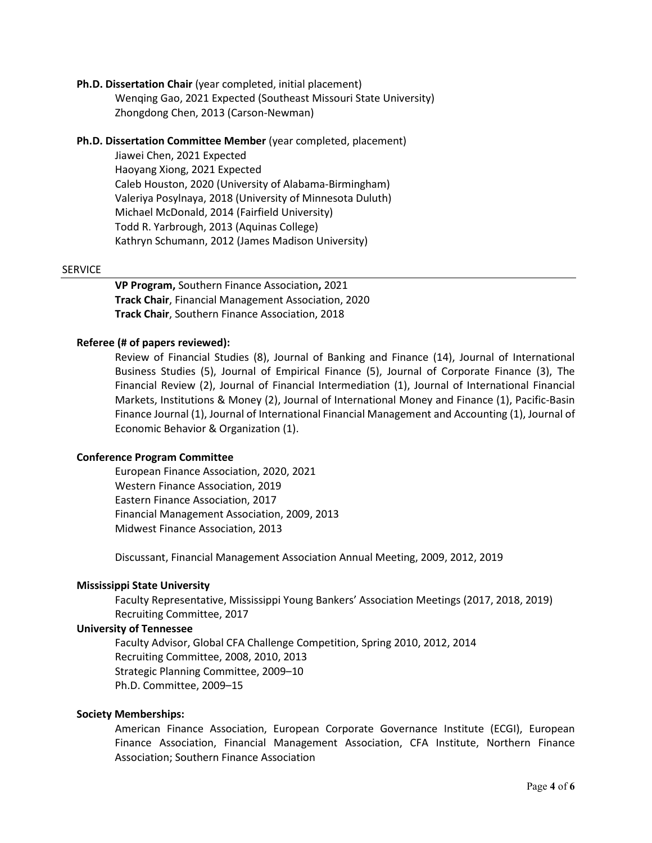## **Ph.D. Dissertation Chair** (year completed, initial placement)

Wenqing Gao, 2021 Expected (Southeast Missouri State University) Zhongdong Chen, 2013 (Carson-Newman)

## **Ph.D. Dissertation Committee Member** (year completed, placement)

Jiawei Chen, 2021 Expected Haoyang Xiong, 2021 Expected Caleb Houston, 2020 (University of Alabama-Birmingham) Valeriya Posylnaya, 2018 (University of Minnesota Duluth) Michael McDonald, 2014 (Fairfield University) Todd R. Yarbrough, 2013 (Aquinas College) Kathryn Schumann, 2012 (James Madison University)

## **SERVICE**

**VP Program,** Southern Finance Association**,** 2021 **Track Chair**, Financial Management Association, 2020 **Track Chair**, Southern Finance Association, 2018

## **Referee (# of papers reviewed):**

Review of Financial Studies (8), Journal of Banking and Finance (14), Journal of International Business Studies (5), Journal of Empirical Finance (5), Journal of Corporate Finance (3), The Financial Review (2), Journal of Financial Intermediation (1), Journal of International Financial Markets, Institutions & Money (2), Journal of International Money and Finance (1), Pacific-Basin Finance Journal (1), Journal of International Financial Management and Accounting (1), Journal of Economic Behavior & Organization (1).

## **Conference Program Committee**

European Finance Association, 2020, 2021 Western Finance Association, 2019 Eastern Finance Association, 2017 Financial Management Association, 2009, 2013 Midwest Finance Association, 2013

Discussant, Financial Management Association Annual Meeting, 2009, 2012, 2019

## **Mississippi State University**

Faculty Representative, Mississippi Young Bankers' Association Meetings (2017, 2018, 2019) Recruiting Committee, 2017

## **University of Tennessee**

Faculty Advisor, Global CFA Challenge Competition, Spring 2010, 2012, 2014 Recruiting Committee, 2008, 2010, 2013 Strategic Planning Committee, 2009–10 Ph.D. Committee, 2009–15

## **Society Memberships:**

American Finance Association, European Corporate Governance Institute (ECGI), European Finance Association, Financial Management Association, CFA Institute, Northern Finance Association; Southern Finance Association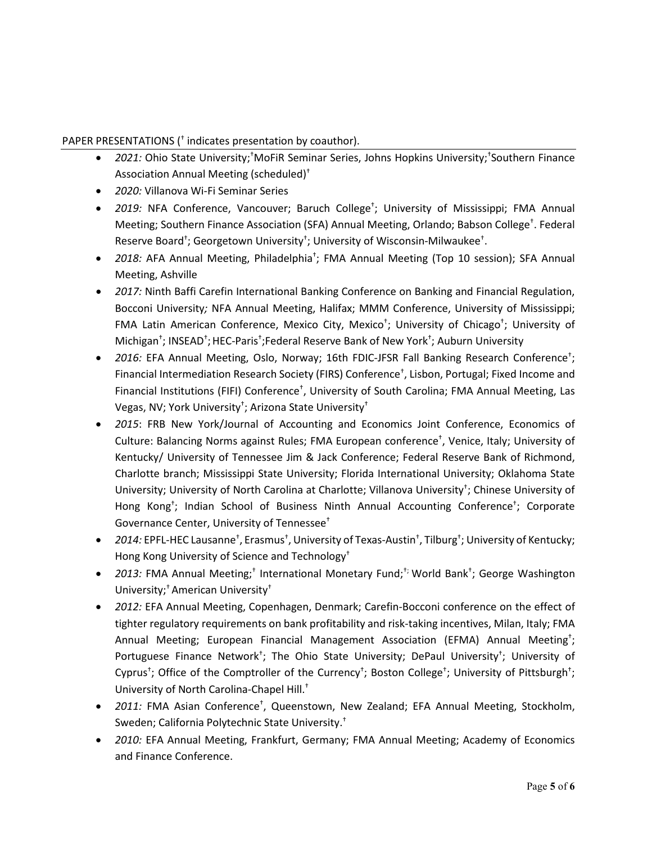# PAPER PRESENTATIONS († indicates presentation by coauthor).

- 2021: Ohio State University;<sup>†</sup>MoFiR Seminar Series, Johns Hopkins University;<sup>†</sup>Southern Finance Association Annual Meeting (scheduled)†
- *2020:* Villanova Wi-Fi Seminar Series
- *2019:* NFA Conference, Vancouver; Baruch College† ; University of Mississippi; FMA Annual Meeting; Southern Finance Association (SFA) Annual Meeting, Orlando; Babson College† . Federal Reserve Board<sup>†</sup>; Georgetown University<sup>†</sup>; University of Wisconsin-Milwaukee<sup>†</sup>.
- 2018: AFA Annual Meeting, Philadelphia<sup>t</sup>; FMA Annual Meeting (Top 10 session); SFA Annual Meeting, Ashville
- *2017:* Ninth Baffi Carefin International Banking Conference on Banking and Financial Regulation, Bocconi University*;* NFA Annual Meeting, Halifax; MMM Conference, University of Mississippi; FMA Latin American Conference, Mexico City, Mexico† ; University of Chicago† ; University of Michigan<sup>+</sup>; INSEAD<sup>+</sup>; HEC-Paris<sup>+</sup>;Federal Reserve Bank of New York<sup>+</sup>; Auburn University
- 2016: EFA Annual Meeting, Oslo, Norway; 16th FDIC-JFSR Fall Banking Research Conference<sup>+</sup>; Financial Intermediation Research Society (FIRS) Conference† , Lisbon, Portugal; Fixed Income and Financial Institutions (FIFI) Conference<sup>†</sup>, University of South Carolina; FMA Annual Meeting, Las Vegas, NV; York University<sup>†</sup>; Arizona State University<sup>†</sup>
- *2015*: FRB New York/Journal of Accounting and Economics Joint Conference, Economics of Culture: Balancing Norms against Rules; FMA European conference† , Venice, Italy; University of Kentucky/ University of Tennessee Jim & Jack Conference; Federal Reserve Bank of Richmond, Charlotte branch; Mississippi State University; Florida International University; Oklahoma State University; University of North Carolina at Charlotte; Villanova University<sup>†</sup>; Chinese University of Hong Kong<sup>+</sup>; Indian School of Business Ninth Annual Accounting Conference<sup>+</sup>; Corporate Governance Center, University of Tennessee†
- 2014: EPFL-HEC Lausanne<sup>†</sup>, Erasmus<sup>†</sup>, University of Texas-Austin<sup>†</sup>, Tilburg<sup>†</sup>; University of Kentucky; Hong Kong University of Science and Technology†
- 2013: FMA Annual Meeting;<sup>†</sup> International Monetary Fund;<sup>†;</sup> World Bank<sup>+</sup>; George Washington University;† American University†
- *2012:* EFA Annual Meeting, Copenhagen, Denmark; Carefin-Bocconi conference on the effect of tighter regulatory requirements on bank profitability and risk-taking incentives, Milan, Italy; FMA Annual Meeting; European Financial Management Association (EFMA) Annual Meeting<sup>†</sup>; Portuguese Finance Network<sup>+</sup>; The Ohio State University; DePaul University<sup>+</sup>; University of Cyprus<sup>†</sup>; Office of the Comptroller of the Currency<sup>†</sup>; Boston College<sup>†</sup>; University of Pittsburgh<sup>†</sup>; University of North Carolina-Chapel Hill. †
- 2011: FMA Asian Conference<sup>+</sup>, Queenstown, New Zealand; EFA Annual Meeting, Stockholm, Sweden; California Polytechnic State University. †
- *2010:* EFA Annual Meeting, Frankfurt, Germany; FMA Annual Meeting; Academy of Economics and Finance Conference.